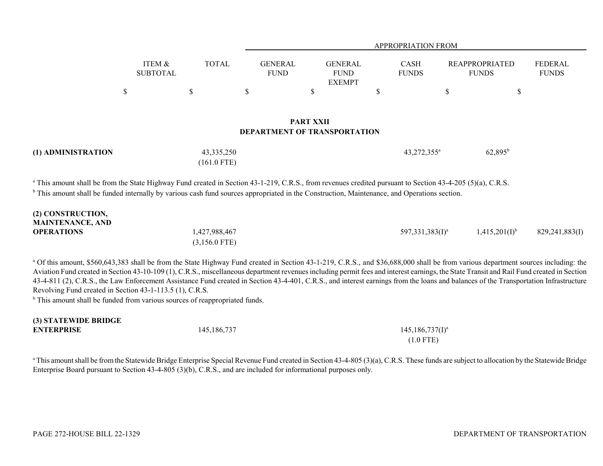|   |                           |              |                                     | <b>APPROPRIATION FROM</b>                      |        |                             |                                       |                                |
|---|---------------------------|--------------|-------------------------------------|------------------------------------------------|--------|-----------------------------|---------------------------------------|--------------------------------|
|   | ITEM &<br><b>SUBTOTAL</b> | <b>TOTAL</b> | <b>GENERAL</b><br><b>FUND</b>       | <b>GENERAL</b><br><b>FUND</b><br><b>EXEMPT</b> |        | <b>CASH</b><br><b>FUNDS</b> | <b>REAPPROPRIATED</b><br><b>FUNDS</b> | <b>FEDERAL</b><br><b>FUNDS</b> |
| S |                           | S            | S                                   | \$                                             | ¢<br>D |                             | D                                     | Φ                              |
|   |                           |              | <b>DEPARTMENT OF TRANSPORTATION</b> | <b>PART XXII</b>                               |        |                             |                                       |                                |

| (1) ADMINISTRATION | 43, 335, 250  | 43,272,355 <sup>a</sup> | $62,895^{\rm b}$ |
|--------------------|---------------|-------------------------|------------------|
|                    | $(161.0$ FTE) |                         |                  |

<sup>a</sup> This amount shall be from the State Highway Fund created in Section 43-1-219, C.R.S., from revenues credited pursuant to Section 43-4-205 (5)(a), C.R.S.

<sup>b</sup> This amount shall be funded internally by various cash fund sources appropriated in the Construction, Maintenance, and Operations section.

| (2) CONSTRUCTION,       |                 |                     |                    |                |
|-------------------------|-----------------|---------------------|--------------------|----------------|
| <b>MAINTENANCE, AND</b> |                 |                     |                    |                |
| <b>OPERATIONS</b>       | 1,427,988,467   | 597,331,383 $(I)^a$ | $1,415,201(1)^{6}$ | 829,241,883(I) |
|                         | $(3,156.0$ FTE) |                     |                    |                |

<sup>a</sup> Of this amount, \$560,643,383 shall be from the State Highway Fund created in Section 43-1-219, C.R.S., and \$36,688,000 shall be from various department sources including: the Aviation Fund created in Section 43-10-109 (1), C.R.S., miscellaneous department revenues including permit fees and interest earnings, the State Transit and Rail Fund created in Section 43-4-811 (2), C.R.S., the Law Enforcement Assistance Fund created in Section 43-4-401, C.R.S., and interest earnings from the loans and balances of the Transportation Infrastructure Revolving Fund created in Section 43-1-113.5 (1), C.R.S.

<sup>b</sup> This amount shall be funded from various sources of reappropriated funds.

| (3) STATEWIDE DRIDGE |             |                        |
|----------------------|-------------|------------------------|
| <b>ENTERPRISE</b>    | 145,186,737 | $145, 186, 737(1)^{a}$ |
|                      |             | $(1.0$ FTE)            |

<sup>a</sup> This amount shall be from the Statewide Bridge Enterprise Special Revenue Fund created in Section 43-4-805 (3)(a), C.R.S. These funds are subject to allocation by the Statewide Bridge Enterprise Board pursuant to Section 43-4-805 (3)(b), C.R.S., and are included for informational purposes only.

**(3) STATEWIDE BRIDGE**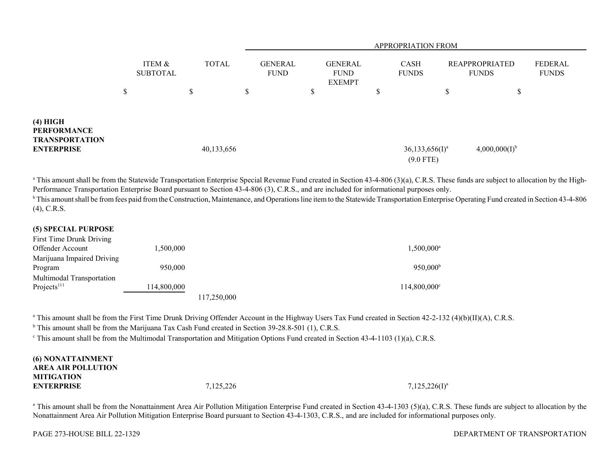|                                                                              |                           |              | <b>APPROPRIATION FROM</b>     |                                                |                                              |                                       |                         |  |
|------------------------------------------------------------------------------|---------------------------|--------------|-------------------------------|------------------------------------------------|----------------------------------------------|---------------------------------------|-------------------------|--|
|                                                                              | ITEM &<br><b>SUBTOTAL</b> | <b>TOTAL</b> | <b>GENERAL</b><br><b>FUND</b> | <b>GENERAL</b><br><b>FUND</b><br><b>EXEMPT</b> | <b>CASH</b><br><b>FUNDS</b>                  | <b>REAPPROPRIATED</b><br><b>FUNDS</b> | FEDERAL<br><b>FUNDS</b> |  |
|                                                                              | \$                        | $\mathbb{S}$ | \$                            | \$                                             | Φ<br>D                                       | \$                                    | \$                      |  |
| (4) HIGH<br><b>PERFORMANCE</b><br><b>TRANSPORTATION</b><br><b>ENTERPRISE</b> |                           | 40,133,656   |                               |                                                | $36,133,656$ (I) <sup>a</sup><br>$(9.0$ FTE) | $4,000,000(I)^{b}$                    |                         |  |

<sup>a</sup> This amount shall be from the Statewide Transportation Enterprise Special Revenue Fund created in Section 43-4-806 (3)(a), C.R.S. These funds are subject to allocation by the High-Performance Transportation Enterprise Board pursuant to Section 43-4-806 (3), C.R.S., and are included for informational purposes only.

<sup>b</sup> This amount shall be from fees paid from the Construction, Maintenance, and Operations line item to the Statewide Transportation Enterprise Operating Fund created in Section 43-4-806 (4), C.R.S.

## **(5) SPECIAL PURPOSE**

| First Time Drunk Driving   |             |            |                       |
|----------------------------|-------------|------------|-----------------------|
| Offender Account           | 1,500,000   |            | $1,500,000^{\rm a}$   |
| Marijuana Impaired Driving |             |            |                       |
| Program                    | 950,000     |            | $950,000^{\rm b}$     |
| Multimodal Transportation  |             |            |                       |
| Projects <sup>111</sup>    | 114,800,000 |            | $114,800,000^{\circ}$ |
|                            |             | 17.250.000 |                       |

<sup>a</sup> This amount shall be from the First Time Drunk Driving Offender Account in the Highway Users Tax Fund created in Section 42-2-132 (4)(b)(II)(A), C.R.S.

<sup>b</sup> This amount shall be from the Marijuana Tax Cash Fund created in Section 39-28.8-501 (1), C.R.S.

<sup>c</sup> This amount shall be from the Multimodal Transportation and Mitigation Options Fund created in Section 43-4-1103 (1)(a), C.R.S.

| <b>(6) NONATTAINMENT</b><br><b>AREA AIR POLLUTION</b> |           |                    |
|-------------------------------------------------------|-----------|--------------------|
| <b>MITIGATION</b><br><b>ENTERPRISE</b>                | 7,125,226 | $7,125,226(I)^{a}$ |

<sup>a</sup> This amount shall be from the Nonattainment Area Air Pollution Mitigation Enterprise Fund created in Section 43-4-1303 (5)(a), C.R.S. These funds are subject to allocation by the Nonattainment Area Air Pollution Mitigation Enterprise Board pursuant to Section 43-4-1303, C.R.S., and are included for informational purposes only.